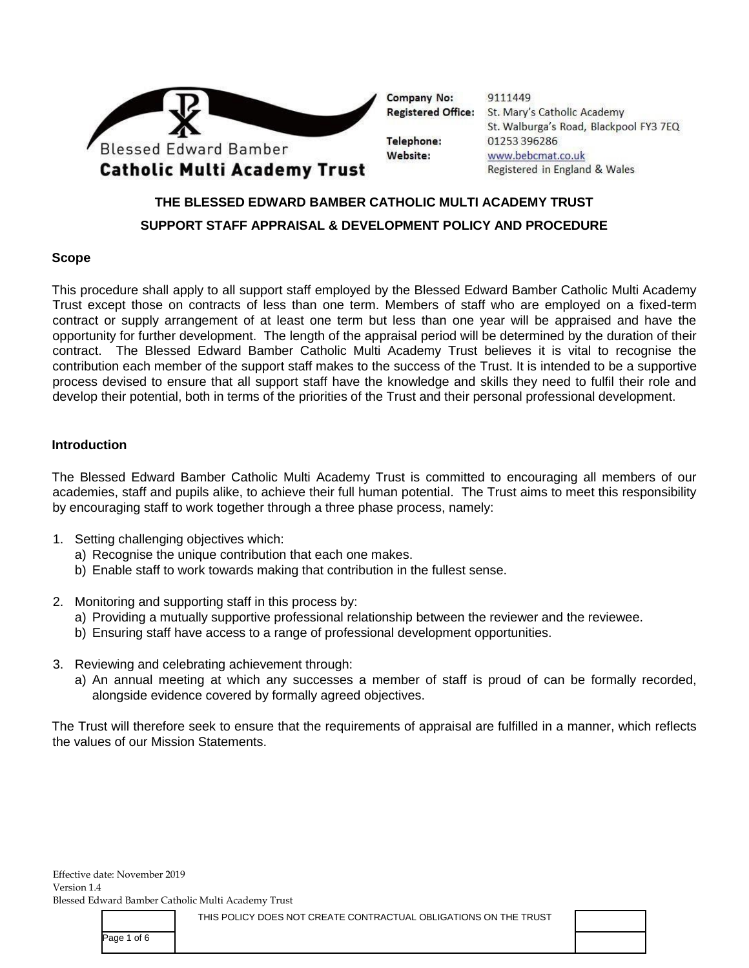

9111449 Registered Office: St. Mary's Catholic Academy St. Walburga's Road, Blackpool FY3 7EQ 01253396286 www.bebcmat.co.uk Registered in England & Wales

# **THE BLESSED EDWARD BAMBER CATHOLIC MULTI ACADEMY TRUST SUPPORT STAFF APPRAISAL & DEVELOPMENT POLICY AND PROCEDURE**

### **Scope**

This procedure shall apply to all support staff employed by the Blessed Edward Bamber Catholic Multi Academy Trust except those on contracts of less than one term. Members of staff who are employed on a fixed-term contract or supply arrangement of at least one term but less than one year will be appraised and have the opportunity for further development. The length of the appraisal period will be determined by the duration of their contract. The Blessed Edward Bamber Catholic Multi Academy Trust believes it is vital to recognise the contribution each member of the support staff makes to the success of the Trust. It is intended to be a supportive process devised to ensure that all support staff have the knowledge and skills they need to fulfil their role and develop their potential, both in terms of the priorities of the Trust and their personal professional development.

#### **Introduction**

The Blessed Edward Bamber Catholic Multi Academy Trust is committed to encouraging all members of our academies, staff and pupils alike, to achieve their full human potential. The Trust aims to meet this responsibility by encouraging staff to work together through a three phase process, namely:

- 1. Setting challenging objectives which:
	- a) Recognise the unique contribution that each one makes.
	- b) Enable staff to work towards making that contribution in the fullest sense.
- 2. Monitoring and supporting staff in this process by:
	- a) Providing a mutually supportive professional relationship between the reviewer and the reviewee.
	- b) Ensuring staff have access to a range of professional development opportunities.
- 3. Reviewing and celebrating achievement through:
	- a) An annual meeting at which any successes a member of staff is proud of can be formally recorded, alongside evidence covered by formally agreed objectives.

The Trust will therefore seek to ensure that the requirements of appraisal are fulfilled in a manner, which reflects the values of our Mission Statements.

Effective date: November 2019 Version 1.4 Blessed Edward Bamber Catholic Multi Academy Trust

THIS POLICY DOES NOT CREATE CONTRACTUAL OBLIGATIONS ON THE TRUST

Page 1 of 6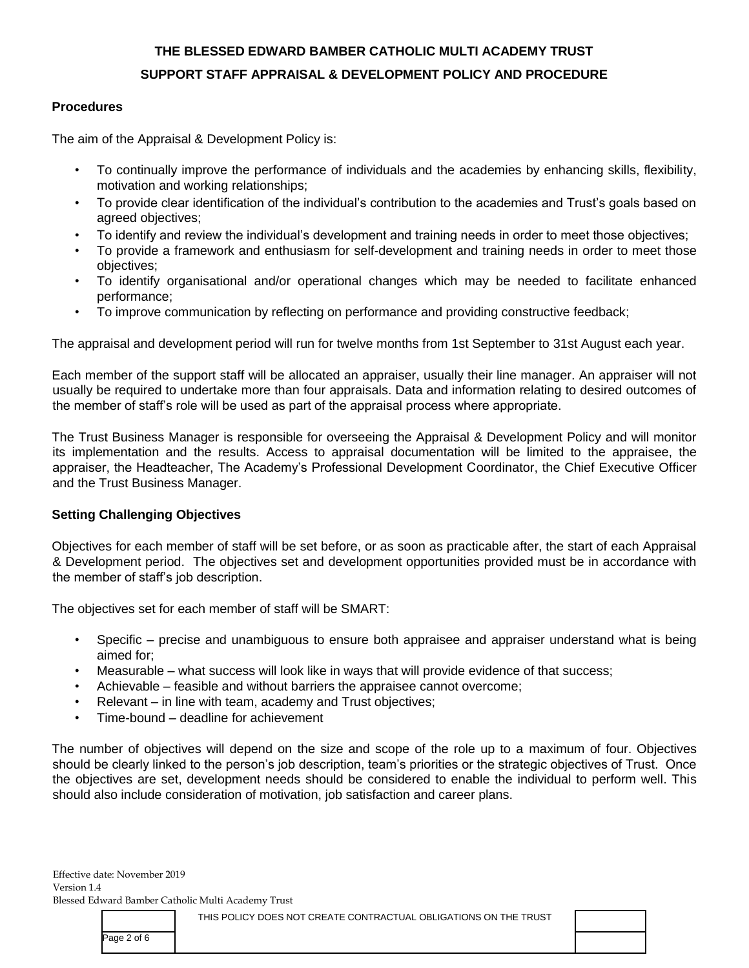### **Procedures**

The aim of the Appraisal & Development Policy is:

- To continually improve the performance of individuals and the academies by enhancing skills, flexibility, motivation and working relationships;
- To provide clear identification of the individual's contribution to the academies and Trust's goals based on agreed objectives;
- To identify and review the individual's development and training needs in order to meet those objectives;
- To provide a framework and enthusiasm for self-development and training needs in order to meet those objectives;
- To identify organisational and/or operational changes which may be needed to facilitate enhanced performance;
- To improve communication by reflecting on performance and providing constructive feedback;

The appraisal and development period will run for twelve months from 1st September to 31st August each year.

Each member of the support staff will be allocated an appraiser, usually their line manager. An appraiser will not usually be required to undertake more than four appraisals. Data and information relating to desired outcomes of the member of staff's role will be used as part of the appraisal process where appropriate.

The Trust Business Manager is responsible for overseeing the Appraisal & Development Policy and will monitor its implementation and the results. Access to appraisal documentation will be limited to the appraisee, the appraiser, the Headteacher, The Academy's Professional Development Coordinator, the Chief Executive Officer and the Trust Business Manager.

## **Setting Challenging Objectives**

Objectives for each member of staff will be set before, or as soon as practicable after, the start of each Appraisal & Development period. The objectives set and development opportunities provided must be in accordance with the member of staff's job description.

The objectives set for each member of staff will be SMART:

- Specific precise and unambiguous to ensure both appraisee and appraiser understand what is being aimed for;
- Measurable what success will look like in ways that will provide evidence of that success;
- Achievable feasible and without barriers the appraisee cannot overcome;
- Relevant in line with team, academy and Trust objectives;
- Time-bound deadline for achievement

The number of objectives will depend on the size and scope of the role up to a maximum of four. Objectives should be clearly linked to the person's job description, team's priorities or the strategic objectives of Trust. Once the objectives are set, development needs should be considered to enable the individual to perform well. This should also include consideration of motivation, job satisfaction and career plans.

THIS POLICY DOES NOT CREATE CONTRACTUAL OBLIGATIONS ON THE TRUST

Page 2 of 6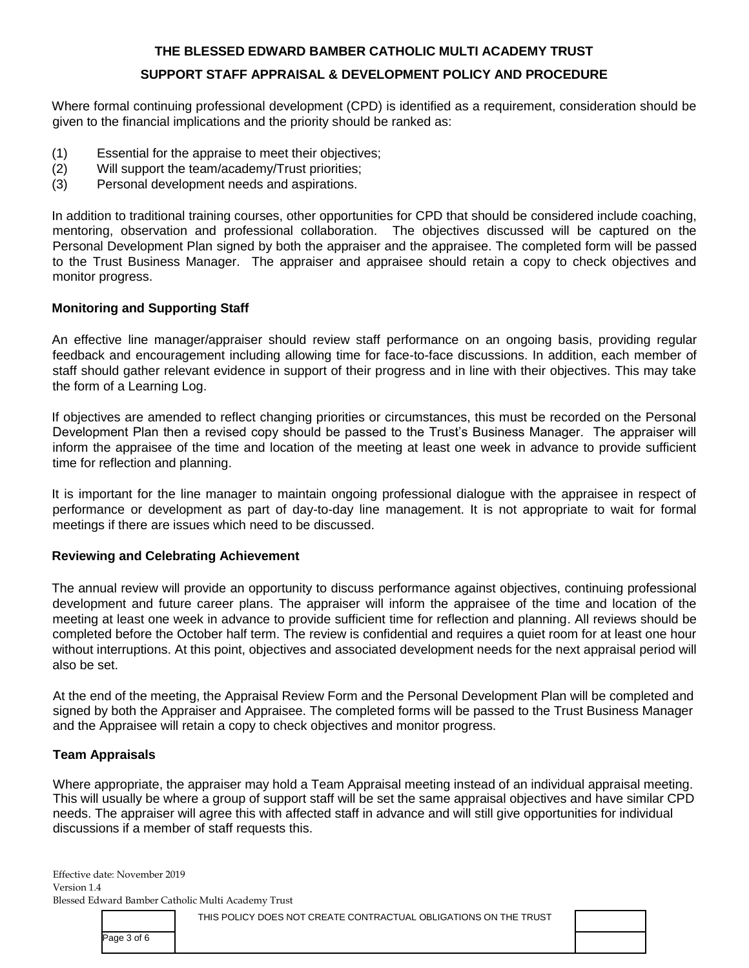Where formal continuing professional development (CPD) is identified as a requirement, consideration should be given to the financial implications and the priority should be ranked as:

- (1) Essential for the appraise to meet their objectives;
- (2) Will support the team/academy/Trust priorities;
- (3) Personal development needs and aspirations.

In addition to traditional training courses, other opportunities for CPD that should be considered include coaching, mentoring, observation and professional collaboration. The objectives discussed will be captured on the Personal Development Plan signed by both the appraiser and the appraisee. The completed form will be passed to the Trust Business Manager. The appraiser and appraisee should retain a copy to check objectives and monitor progress.

### **Monitoring and Supporting Staff**

An effective line manager/appraiser should review staff performance on an ongoing basis, providing regular feedback and encouragement including allowing time for face-to-face discussions. In addition, each member of staff should gather relevant evidence in support of their progress and in line with their objectives. This may take the form of a Learning Log.

If objectives are amended to reflect changing priorities or circumstances, this must be recorded on the Personal Development Plan then a revised copy should be passed to the Trust's Business Manager. The appraiser will inform the appraisee of the time and location of the meeting at least one week in advance to provide sufficient time for reflection and planning.

It is important for the line manager to maintain ongoing professional dialogue with the appraisee in respect of performance or development as part of day-to-day line management. It is not appropriate to wait for formal meetings if there are issues which need to be discussed.

### **Reviewing and Celebrating Achievement**

The annual review will provide an opportunity to discuss performance against objectives, continuing professional development and future career plans. The appraiser will inform the appraisee of the time and location of the meeting at least one week in advance to provide sufficient time for reflection and planning. All reviews should be completed before the October half term. The review is confidential and requires a quiet room for at least one hour without interruptions. At this point, objectives and associated development needs for the next appraisal period will also be set.

At the end of the meeting, the Appraisal Review Form and the Personal Development Plan will be completed and signed by both the Appraiser and Appraisee. The completed forms will be passed to the Trust Business Manager and the Appraisee will retain a copy to check objectives and monitor progress.

## **Team Appraisals**

Where appropriate, the appraiser may hold a Team Appraisal meeting instead of an individual appraisal meeting. This will usually be where a group of support staff will be set the same appraisal objectives and have similar CPD needs. The appraiser will agree this with affected staff in advance and will still give opportunities for individual discussions if a member of staff requests this.

Effective date: November 2019 Version 1.4 Blessed Edward Bamber Catholic Multi Academy Trust

THIS POLICY DOES NOT CREATE CONTRACTUAL OBLIGATIONS ON THE TRUST

Page 3 of 6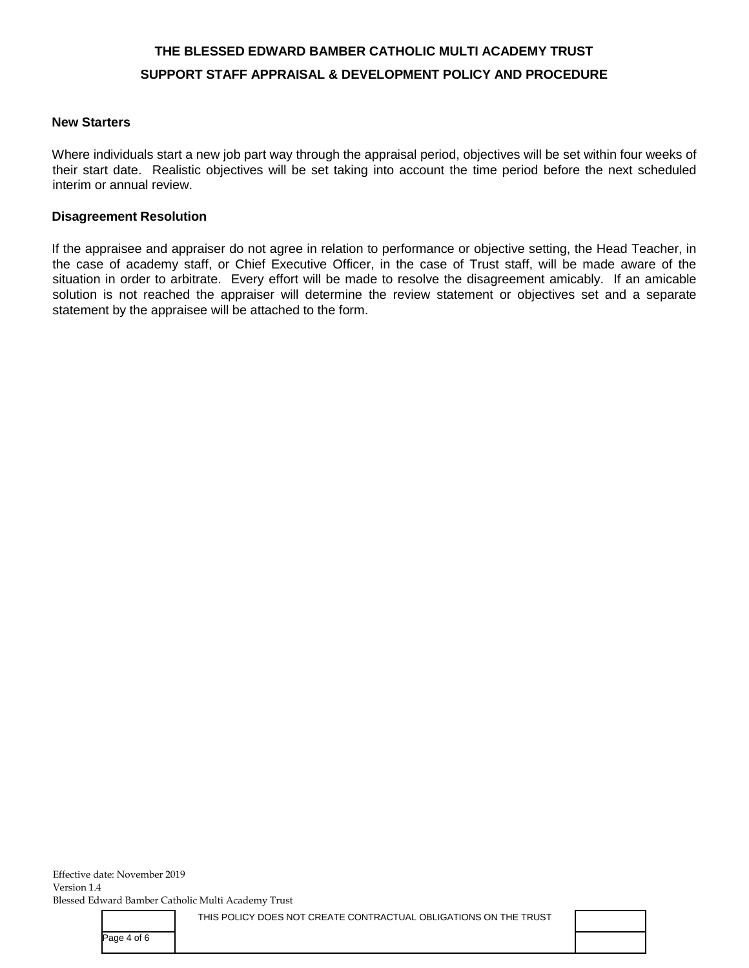#### **New Starters**

Where individuals start a new job part way through the appraisal period, objectives will be set within four weeks of their start date. Realistic objectives will be set taking into account the time period before the next scheduled interim or annual review.

#### **Disagreement Resolution**

If the appraisee and appraiser do not agree in relation to performance or objective setting, the Head Teacher, in the case of academy staff, or Chief Executive Officer, in the case of Trust staff, will be made aware of the situation in order to arbitrate. Every effort will be made to resolve the disagreement amicably. If an amicable solution is not reached the appraiser will determine the review statement or objectives set and a separate statement by the appraisee will be attached to the form.

THIS POLICY DOES NOT CREATE CONTRACTUAL OBLIGATIONS ON THE TRUST

Page 4 of 6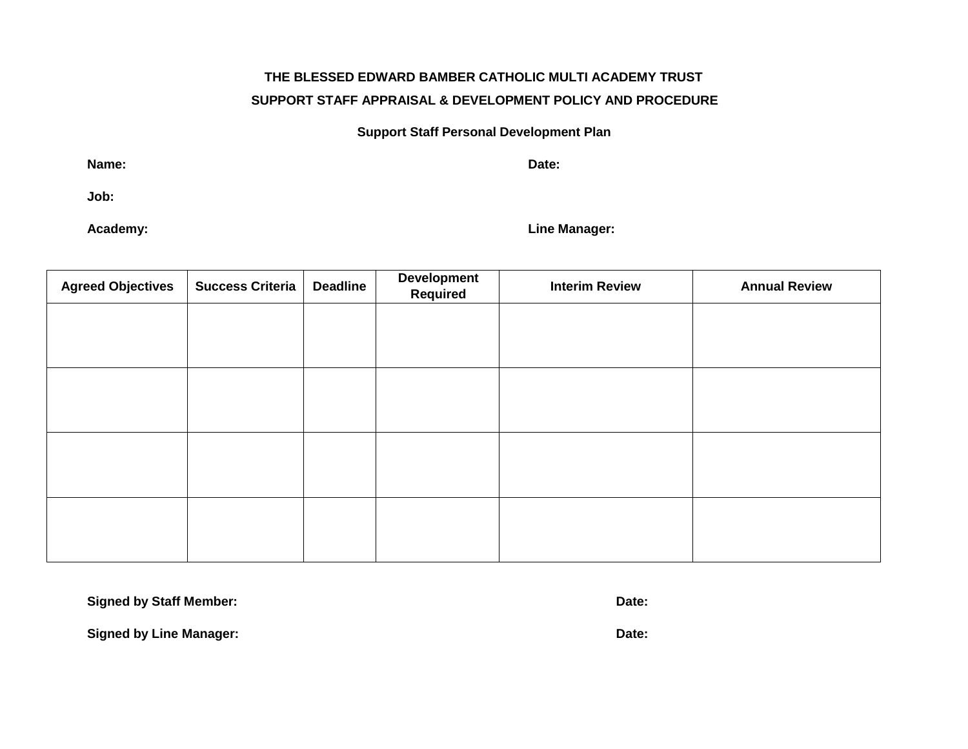### **Support Staff Personal Development Plan**

**Name: Date:** 

**Job:** 

**Academy: Line Manager:** 

| <b>Agreed Objectives</b> | <b>Success Criteria</b> | <b>Deadline</b> | <b>Development</b><br>Required | <b>Interim Review</b> | <b>Annual Review</b> |
|--------------------------|-------------------------|-----------------|--------------------------------|-----------------------|----------------------|
|                          |                         |                 |                                |                       |                      |
|                          |                         |                 |                                |                       |                      |
|                          |                         |                 |                                |                       |                      |
|                          |                         |                 |                                |                       |                      |
|                          |                         |                 |                                |                       |                      |
|                          |                         |                 |                                |                       |                      |
|                          |                         |                 |                                |                       |                      |
|                          |                         |                 |                                |                       |                      |

**Signed by Staff Member: Date: Date: Date: Date: Date: Date: Date: Date: Date: Date: Date: Date: Date: Date: Date: Date: Date: Date: Date: Date: Date: Date: Date: Date: Dat** 

**Signed by Line Manager: Date: Date: Date: Date: Date: Date: Date: Date: Date: Date: Date: Date: Date: Date: Date: Date: Date: Date: Date: Date: Date: Date: Date: Date: Dat**